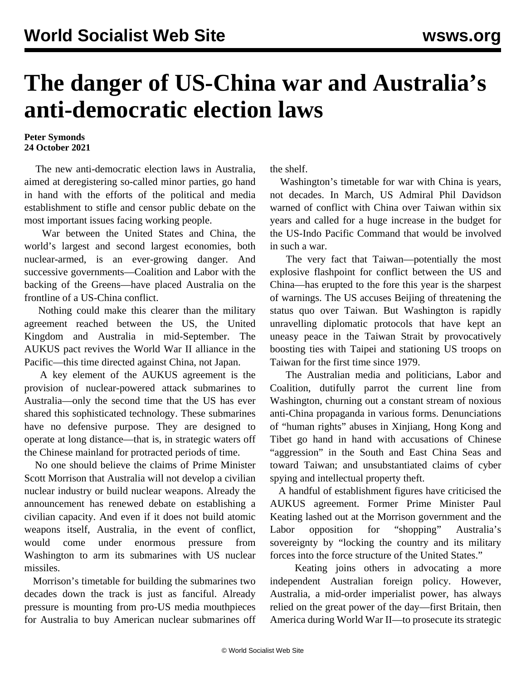## **The danger of US-China war and Australia's anti-democratic election laws**

## **Peter Symonds 24 October 2021**

 The new anti-democratic election laws in Australia, aimed at deregistering so-called minor parties, go hand in hand with the efforts of the political and media establishment to stifle and censor public debate on the most important issues facing working people.

 War between the United States and China, the world's largest and second largest economies, both nuclear-armed, is an ever-growing danger. And successive governments—Coalition and Labor with the backing of the Greens—have placed Australia on the frontline of a US-China conflict.

 Nothing could make this clearer than the military agreement reached between the US, the United Kingdom and Australia in mid-September. The AUKUS pact revives the World War II alliance in the Pacific—this time directed against China, not Japan.

 A key element of the AUKUS agreement is the provision of nuclear-powered attack submarines to Australia—only the second time that the US has ever shared this sophisticated technology. These submarines have no defensive purpose. They are designed to operate at long distance—that is, in strategic waters off the Chinese mainland for protracted periods of time.

 No one should believe the claims of Prime Minister Scott Morrison that Australia will not develop a civilian nuclear industry or build nuclear weapons. Already the announcement has renewed debate on establishing a civilian capacity. And even if it does not build atomic weapons itself, Australia, in the event of conflict, would come under enormous pressure from Washington to arm its submarines with US nuclear missiles.

 Morrison's timetable for building the submarines two decades down the track is just as fanciful. Already pressure is mounting from pro-US media mouthpieces for Australia to buy American nuclear submarines off the shelf.

 Washington's timetable for war with China is years, not decades. In March, US Admiral Phil Davidson warned of conflict with China over Taiwan within six years and called for a huge increase in the budget for the US-Indo Pacific Command that would be involved in such a war.

 The very fact that Taiwan—potentially the most explosive flashpoint for conflict between the US and China—has erupted to the fore this year is the sharpest of warnings. The US accuses Beijing of threatening the status quo over Taiwan. But Washington is rapidly unravelling diplomatic protocols that have kept an uneasy peace in the Taiwan Strait by provocatively boosting ties with Taipei and stationing US troops on Taiwan for the first time since 1979.

 The Australian media and politicians, Labor and Coalition, dutifully parrot the current line from Washington, churning out a constant stream of noxious anti-China propaganda in various forms. Denunciations of "human rights" abuses in Xinjiang, Hong Kong and Tibet go hand in hand with accusations of Chinese "aggression" in the South and East China Seas and toward Taiwan; and unsubstantiated claims of cyber spying and intellectual property theft.

 A handful of establishment figures have criticised the AUKUS agreement. Former Prime Minister Paul Keating lashed out at the Morrison government and the Labor opposition for "shopping" Australia's sovereignty by "locking the country and its military forces into the force structure of the United States."

 Keating joins others in advocating a more independent Australian foreign policy. However, Australia, a mid-order imperialist power, has always relied on the great power of the day—first Britain, then America during World War II—to prosecute its strategic